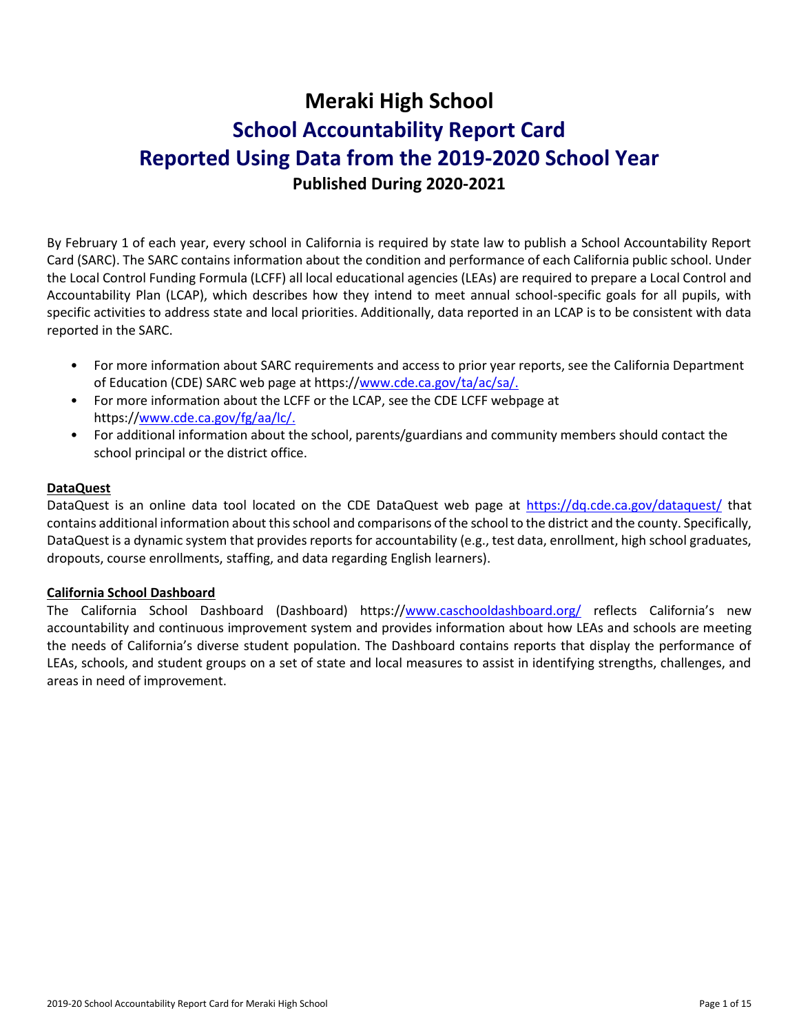# **Meraki High School School Accountability Report Card Reported Using Data from the 2019-2020 School Year Published During 2020-2021**

By February 1 of each year, every school in California is required by state law to publish a School Accountability Report Card (SARC). The SARC contains information about the condition and performance of each California public school. Under the Local Control Funding Formula (LCFF) all local educational agencies (LEAs) are required to prepare a Local Control and Accountability Plan (LCAP), which describes how they intend to meet annual school-specific goals for all pupils, with specific activities to address state and local priorities. Additionally, data reported in an LCAP is to be consistent with data reported in the SARC.

- For more information about SARC requirements and access to prior year reports, see the California Department of Education (CDE) SARC web page at https:/[/www.cde.ca.gov/ta/ac/sa/.](https://www.cde.ca.gov/ta/ac/sa/)
- For more information about the LCFF or the LCAP, see the CDE LCFF webpage at https:/[/www.cde.ca.gov/fg/aa/lc/.](https://www.cde.ca.gov/fg/aa/lc/)
- For additional information about the school, parents/guardians and community members should contact the school principal or the district office.

# **DataQuest**

DataQuest is an online data tool located on the CDE DataQuest web page at<https://dq.cde.ca.gov/dataquest/> that contains additional information about this school and comparisons of the school to the district and the county. Specifically, DataQuest is a dynamic system that provides reports for accountability (e.g., test data, enrollment, high school graduates, dropouts, course enrollments, staffing, and data regarding English learners).

### **California School Dashboard**

The California School Dashboard (Dashboard) https:/[/www.caschooldashboard.org/](https://www.caschooldashboard.org/) reflects California's new accountability and continuous improvement system and provides information about how LEAs and schools are meeting the needs of California's diverse student population. The Dashboard contains reports that display the performance of LEAs, schools, and student groups on a set of state and local measures to assist in identifying strengths, challenges, and areas in need of improvement.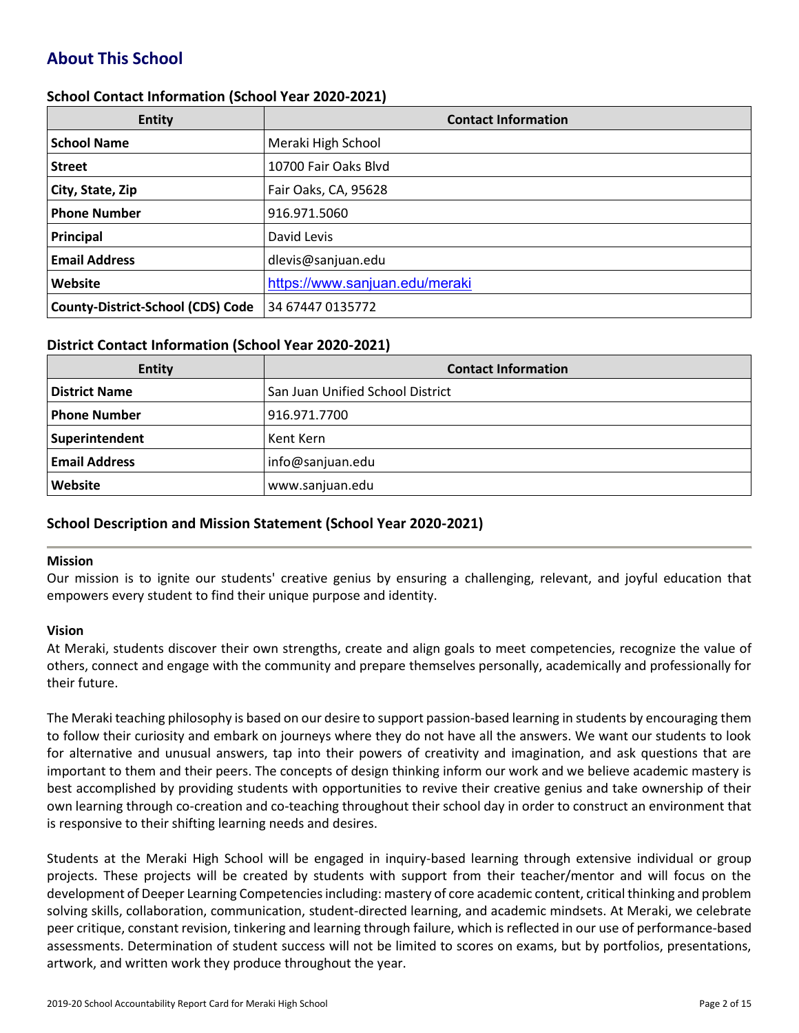# **About This School**

### **School Contact Information (School Year 2020-2021)**

| <b>Entity</b>                            | <b>Contact Information</b>     |
|------------------------------------------|--------------------------------|
| <b>School Name</b>                       | Meraki High School             |
| <b>Street</b>                            | 10700 Fair Oaks Blvd           |
| City, State, Zip                         | Fair Oaks, CA, 95628           |
| <b>Phone Number</b>                      | 916.971.5060                   |
| Principal                                | David Levis                    |
| <b>Email Address</b>                     | dlevis@sanjuan.edu             |
| Website                                  | https://www.sanjuan.edu/meraki |
| <b>County-District-School (CDS) Code</b> | 34 67447 0135772               |

#### **District Contact Information (School Year 2020-2021)**

| <b>Entity</b>        | <b>Contact Information</b>       |  |  |  |
|----------------------|----------------------------------|--|--|--|
| <b>District Name</b> | San Juan Unified School District |  |  |  |
| <b>Phone Number</b>  | 916.971.7700                     |  |  |  |
| Superintendent       | Kent Kern                        |  |  |  |
| <b>Email Address</b> | info@sanjuan.edu                 |  |  |  |
| <b>Website</b>       | www.sanjuan.edu                  |  |  |  |

# **School Description and Mission Statement (School Year 2020-2021)**

#### **Mission**

Our mission is to ignite our students' creative genius by ensuring a challenging, relevant, and joyful education that empowers every student to find their unique purpose and identity.

#### **Vision**

At Meraki, students discover their own strengths, create and align goals to meet competencies, recognize the value of others, connect and engage with the community and prepare themselves personally, academically and professionally for their future.

The Meraki teaching philosophy is based on our desire to support passion-based learning in students by encouraging them to follow their curiosity and embark on journeys where they do not have all the answers. We want our students to look for alternative and unusual answers, tap into their powers of creativity and imagination, and ask questions that are important to them and their peers. The concepts of design thinking inform our work and we believe academic mastery is best accomplished by providing students with opportunities to revive their creative genius and take ownership of their own learning through co-creation and co-teaching throughout their school day in order to construct an environment that is responsive to their shifting learning needs and desires.

Students at the Meraki High School will be engaged in inquiry-based learning through extensive individual or group projects. These projects will be created by students with support from their teacher/mentor and will focus on the development of Deeper Learning Competencies including: mastery of core academic content, critical thinking and problem solving skills, collaboration, communication, student-directed learning, and academic mindsets. At Meraki, we celebrate peer critique, constant revision, tinkering and learning through failure, which is reflected in our use of performance-based assessments. Determination of student success will not be limited to scores on exams, but by portfolios, presentations, artwork, and written work they produce throughout the year.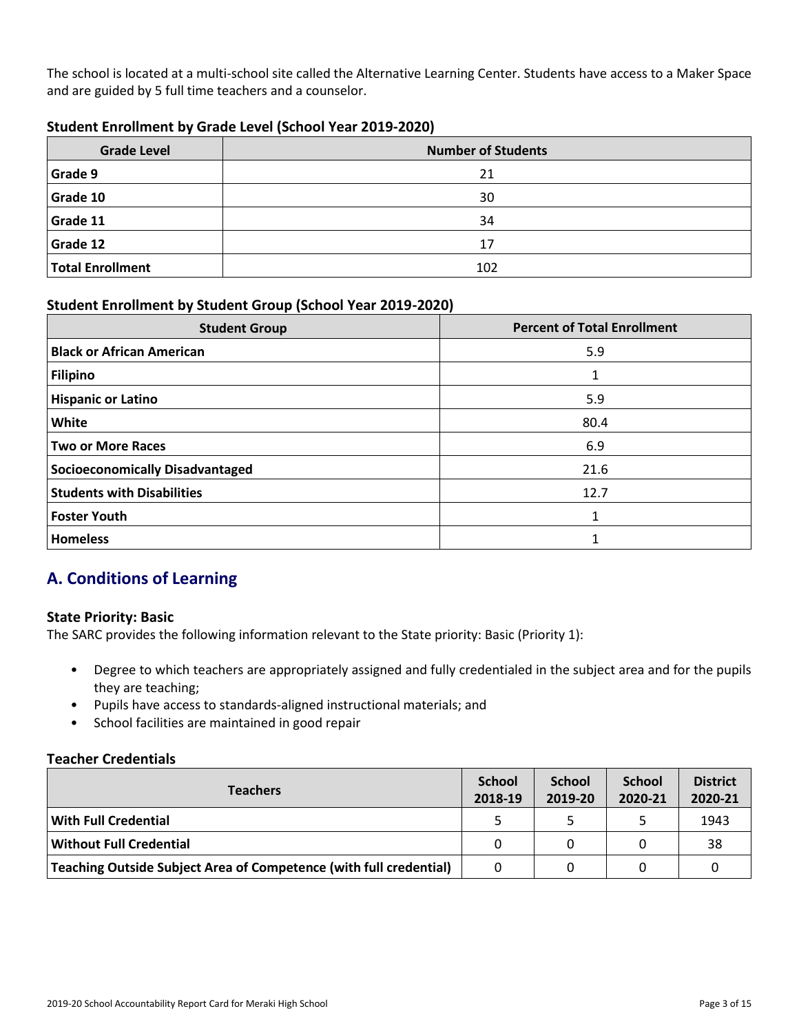The school is located at a multi-school site called the Alternative Learning Center. Students have access to a Maker Space and are guided by 5 full time teachers and a counselor.

## **Student Enrollment by Grade Level (School Year 2019-2020)**

| <b>Grade Level</b> | <b>Number of Students</b> |
|--------------------|---------------------------|
| <b>Grade 9</b>     | 21                        |
| Grade 10           | 30                        |
| Grade 11           | 34                        |
| Grade 12           | 17                        |
| Total Enrollment   | 102                       |

# **Student Enrollment by Student Group (School Year 2019-2020)**

| <b>Student Group</b>                   | <b>Percent of Total Enrollment</b> |
|----------------------------------------|------------------------------------|
| <b>Black or African American</b>       | 5.9                                |
| <b>Filipino</b>                        |                                    |
| <b>Hispanic or Latino</b>              | 5.9                                |
| White                                  | 80.4                               |
| Two or More Races                      | 6.9                                |
| <b>Socioeconomically Disadvantaged</b> | 21.6                               |
| <b>Students with Disabilities</b>      | 12.7                               |
| <b>Foster Youth</b>                    | 1                                  |
| <b>Homeless</b>                        |                                    |

# **A. Conditions of Learning**

# **State Priority: Basic**

The SARC provides the following information relevant to the State priority: Basic (Priority 1):

- Degree to which teachers are appropriately assigned and fully credentialed in the subject area and for the pupils they are teaching;
- Pupils have access to standards-aligned instructional materials; and
- School facilities are maintained in good repair

### **Teacher Credentials**

| <b>Teachers</b>                                                    |          | <b>School</b><br>2019-20 | <b>School</b><br>2020-21 | <b>District</b><br>2020-21 |
|--------------------------------------------------------------------|----------|--------------------------|--------------------------|----------------------------|
| <b>With Full Credential</b>                                        |          |                          |                          | 1943                       |
| <b>Without Full Credential</b>                                     | $\Omega$ |                          |                          | 38                         |
| Teaching Outside Subject Area of Competence (with full credential) | 0        |                          |                          |                            |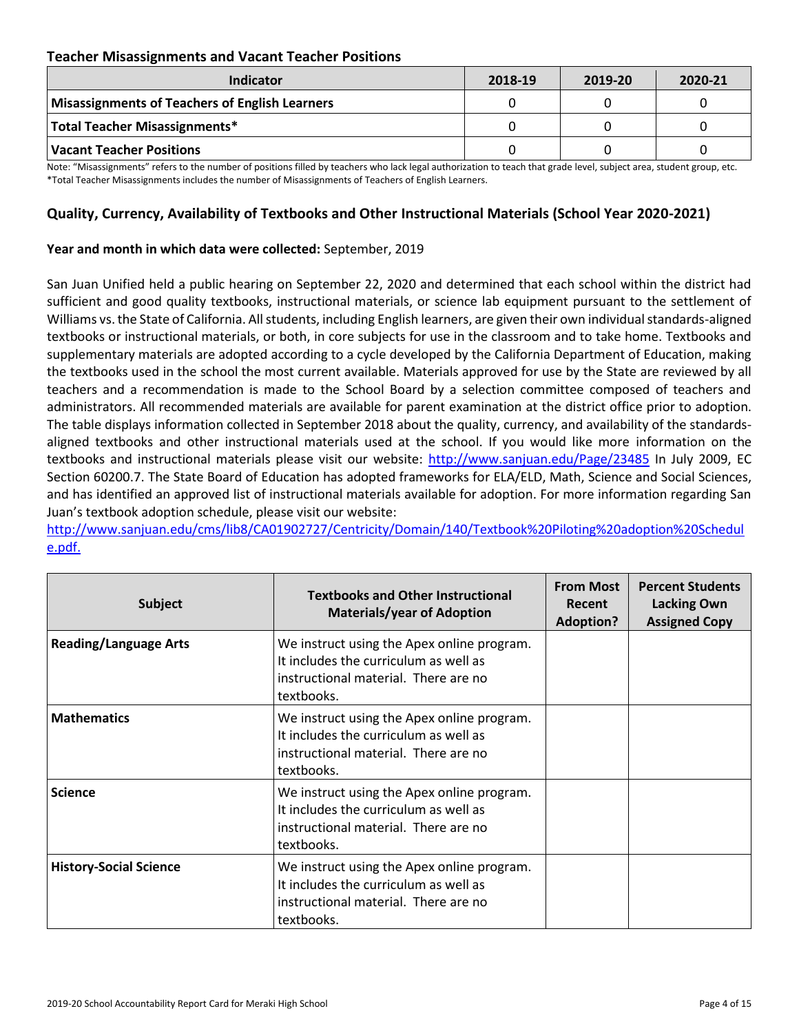# **Teacher Misassignments and Vacant Teacher Positions**

| <b>Indicator</b>                               | 2018-19 | 2019-20 | 2020-21 |
|------------------------------------------------|---------|---------|---------|
| Misassignments of Teachers of English Learners |         |         |         |
| Total Teacher Misassignments*                  |         |         |         |
| Vacant Teacher Positions                       |         |         |         |

Note: "Misassignments" refers to the number of positions filled by teachers who lack legal authorization to teach that grade level, subject area, student group, etc. \*Total Teacher Misassignments includes the number of Misassignments of Teachers of English Learners.

# **Quality, Currency, Availability of Textbooks and Other Instructional Materials (School Year 2020-2021)**

#### **Year and month in which data were collected:** September, 2019

San Juan Unified held a public hearing on September 22, 2020 and determined that each school within the district had sufficient and good quality textbooks, instructional materials, or science lab equipment pursuant to the settlement of Williams vs. the State of California. All students, including English learners, are given their own individual standards-aligned textbooks or instructional materials, or both, in core subjects for use in the classroom and to take home. Textbooks and supplementary materials are adopted according to a cycle developed by the California Department of Education, making the textbooks used in the school the most current available. Materials approved for use by the State are reviewed by all teachers and a recommendation is made to the School Board by a selection committee composed of teachers and administrators. All recommended materials are available for parent examination at the district office prior to adoption. The table displays information collected in September 2018 about the quality, currency, and availability of the standardsaligned textbooks and other instructional materials used at the school. If you would like more information on the textbooks and instructional materials please visit our website:<http://www.sanjuan.edu/Page/23485> In July 2009, EC Section 60200.7. The State Board of Education has adopted frameworks for ELA/ELD, Math, Science and Social Sciences, and has identified an approved list of instructional materials available for adoption. For more information regarding San Juan's textbook adoption schedule, please visit our website:

[http://www.sanjuan.edu/cms/lib8/CA01902727/Centricity/Domain/140/Textbook%20Piloting%20adoption%20Schedul](http://www.sanjuan.edu/cms/lib8/CA01902727/Centricity/Domain/140/Textbook%20Piloting%20adoption%20Schedule.pdf.) [e.pdf.](http://www.sanjuan.edu/cms/lib8/CA01902727/Centricity/Domain/140/Textbook%20Piloting%20adoption%20Schedule.pdf.)

| <b>Subject</b>                | <b>Textbooks and Other Instructional</b><br><b>Materials/year of Adoption</b>                                                             | <b>From Most</b><br>Recent<br><b>Adoption?</b> | <b>Percent Students</b><br><b>Lacking Own</b><br><b>Assigned Copy</b> |
|-------------------------------|-------------------------------------------------------------------------------------------------------------------------------------------|------------------------------------------------|-----------------------------------------------------------------------|
| <b>Reading/Language Arts</b>  | We instruct using the Apex online program.<br>It includes the curriculum as well as<br>instructional material. There are no<br>textbooks. |                                                |                                                                       |
| <b>Mathematics</b>            | We instruct using the Apex online program.<br>It includes the curriculum as well as<br>instructional material. There are no<br>textbooks. |                                                |                                                                       |
| <b>Science</b>                | We instruct using the Apex online program.<br>It includes the curriculum as well as<br>instructional material. There are no<br>textbooks. |                                                |                                                                       |
| <b>History-Social Science</b> | We instruct using the Apex online program.<br>It includes the curriculum as well as<br>instructional material. There are no<br>textbooks. |                                                |                                                                       |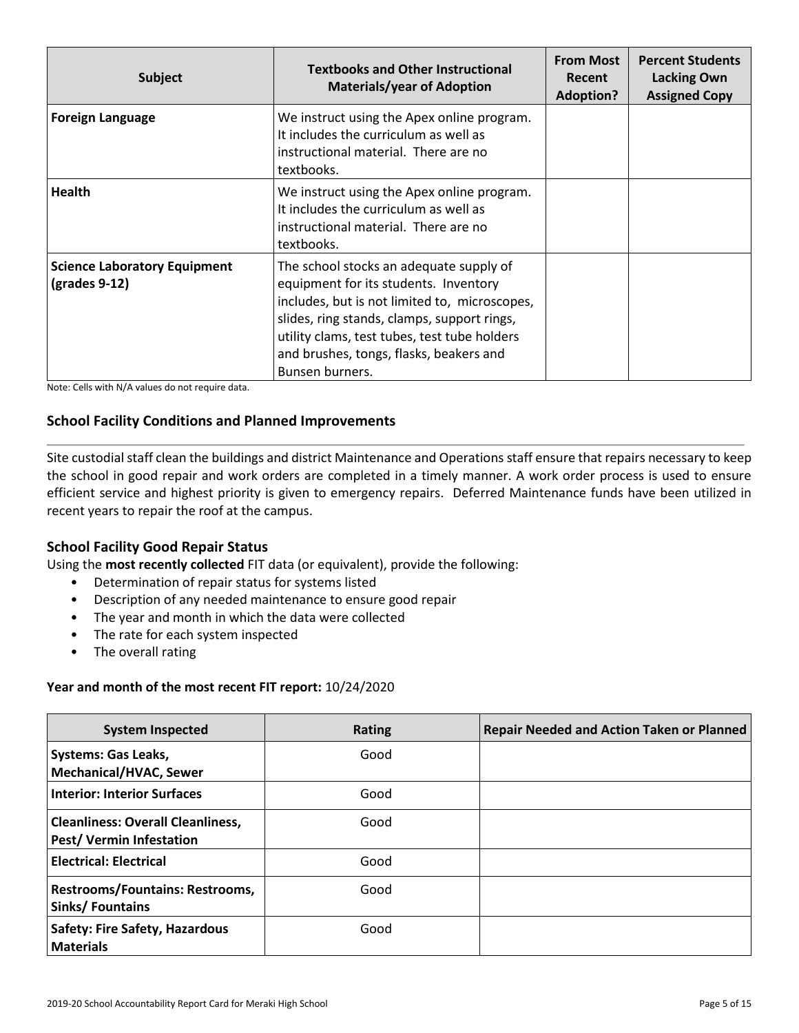| <b>Subject</b>                                                        | <b>Textbooks and Other Instructional</b><br><b>Materials/year of Adoption</b>                                                                                                                                                                                                                  | <b>From Most</b><br><b>Recent</b><br><b>Adoption?</b> | <b>Percent Students</b><br><b>Lacking Own</b><br><b>Assigned Copy</b> |
|-----------------------------------------------------------------------|------------------------------------------------------------------------------------------------------------------------------------------------------------------------------------------------------------------------------------------------------------------------------------------------|-------------------------------------------------------|-----------------------------------------------------------------------|
| <b>Foreign Language</b>                                               | We instruct using the Apex online program.<br>It includes the curriculum as well as<br>instructional material. There are no<br>textbooks.                                                                                                                                                      |                                                       |                                                                       |
| <b>Health</b>                                                         | We instruct using the Apex online program.<br>It includes the curriculum as well as<br>instructional material. There are no<br>textbooks.                                                                                                                                                      |                                                       |                                                                       |
| <b>Science Laboratory Equipment</b><br>$\left($ grades 9-12 $\right)$ | The school stocks an adequate supply of<br>equipment for its students. Inventory<br>includes, but is not limited to, microscopes,<br>slides, ring stands, clamps, support rings,<br>utility clams, test tubes, test tube holders<br>and brushes, tongs, flasks, beakers and<br>Bunsen burners. |                                                       |                                                                       |

# **School Facility Conditions and Planned Improvements**

Site custodial staff clean the buildings and district Maintenance and Operations staff ensure that repairs necessary to keep the school in good repair and work orders are completed in a timely manner. A work order process is used to ensure efficient service and highest priority is given to emergency repairs. Deferred Maintenance funds have been utilized in recent years to repair the roof at the campus.

### **School Facility Good Repair Status**

Using the **most recently collected** FIT data (or equivalent), provide the following:

- Determination of repair status for systems listed
- Description of any needed maintenance to ensure good repair
- The year and month in which the data were collected
- The rate for each system inspected
- The overall rating

#### **Year and month of the most recent FIT report:** 10/24/2020

| <b>System Inspected</b>                                                     | Rating | <b>Repair Needed and Action Taken or Planned</b> |
|-----------------------------------------------------------------------------|--------|--------------------------------------------------|
| <b>Systems: Gas Leaks,</b><br><b>Mechanical/HVAC, Sewer</b>                 | Good   |                                                  |
| <b>Interior: Interior Surfaces</b>                                          | Good   |                                                  |
| <b>Cleanliness: Overall Cleanliness,</b><br><b>Pest/ Vermin Infestation</b> | Good   |                                                  |
| <b>Electrical: Electrical</b>                                               | Good   |                                                  |
| <b>Restrooms/Fountains: Restrooms,</b><br><b>Sinks/Fountains</b>            | Good   |                                                  |
| <b>Safety: Fire Safety, Hazardous</b><br><b>Materials</b>                   | Good   |                                                  |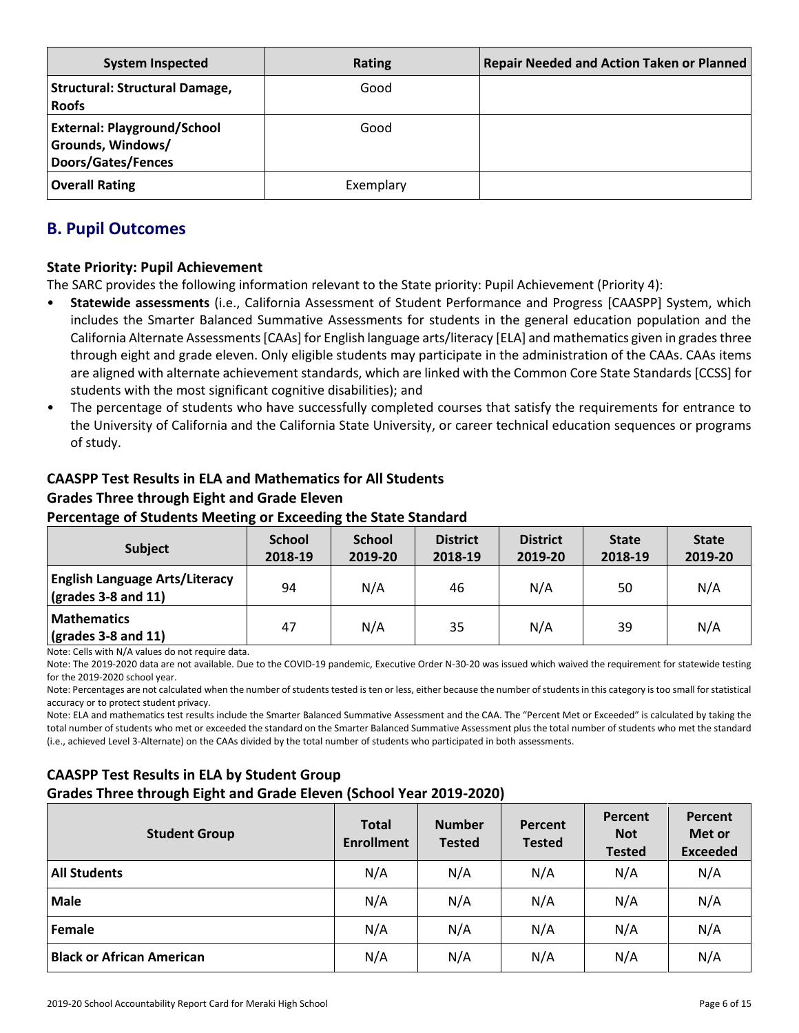| <b>System Inspected</b>                                                              | <b>Rating</b> | <b>Repair Needed and Action Taken or Planned</b> |
|--------------------------------------------------------------------------------------|---------------|--------------------------------------------------|
| <b>Structural: Structural Damage,</b><br><b>Roofs</b>                                | Good          |                                                  |
| <b>External: Playground/School</b><br>Grounds, Windows/<br><b>Doors/Gates/Fences</b> | Good          |                                                  |
| <b>Overall Rating</b>                                                                | Exemplary     |                                                  |

# **B. Pupil Outcomes**

# **State Priority: Pupil Achievement**

The SARC provides the following information relevant to the State priority: Pupil Achievement (Priority 4):

- **Statewide assessments** (i.e., California Assessment of Student Performance and Progress [CAASPP] System, which includes the Smarter Balanced Summative Assessments for students in the general education population and the California Alternate Assessments [CAAs] for English language arts/literacy [ELA] and mathematics given in grades three through eight and grade eleven. Only eligible students may participate in the administration of the CAAs. CAAs items are aligned with alternate achievement standards, which are linked with the Common Core State Standards [CCSS] for students with the most significant cognitive disabilities); and
- The percentage of students who have successfully completed courses that satisfy the requirements for entrance to the University of California and the California State University, or career technical education sequences or programs of study.

# **CAASPP Test Results in ELA and Mathematics for All Students Grades Three through Eight and Grade Eleven**

# **Percentage of Students Meeting or Exceeding the State Standard**

| <b>Subject</b>                                                       | <b>School</b><br>2018-19 | <b>School</b><br>2019-20 | <b>District</b><br>2018-19 | <b>District</b><br>2019-20 | <b>State</b><br>2018-19 | <b>State</b><br>2019-20 |
|----------------------------------------------------------------------|--------------------------|--------------------------|----------------------------|----------------------------|-------------------------|-------------------------|
| <b>English Language Arts/Literacy</b><br>$\vert$ (grades 3-8 and 11) | 94                       | N/A                      | 46                         | N/A                        | 50                      | N/A                     |
| <b>Mathematics</b><br>$\vert$ (grades 3-8 and 11)                    | 47                       | N/A                      | 35                         | N/A                        | 39                      | N/A                     |

Note: Cells with N/A values do not require data.

Note: The 2019-2020 data are not available. Due to the COVID-19 pandemic, Executive Order N-30-20 was issued which waived the requirement for statewide testing for the 2019-2020 school year.

Note: Percentages are not calculated when the number of students tested is ten or less, either because the number of students in this category is too small for statistical accuracy or to protect student privacy.

Note: ELA and mathematics test results include the Smarter Balanced Summative Assessment and the CAA. The "Percent Met or Exceeded" is calculated by taking the total number of students who met or exceeded the standard on the Smarter Balanced Summative Assessment plus the total number of students who met the standard (i.e., achieved Level 3-Alternate) on the CAAs divided by the total number of students who participated in both assessments.

# **CAASPP Test Results in ELA by Student Group**

### **Grades Three through Eight and Grade Eleven (School Year 2019-2020)**

| <b>Student Group</b>             | <b>Total</b><br><b>Enrollment</b> | <b>Number</b><br><b>Tested</b> | Percent<br><b>Tested</b> | Percent<br><b>Not</b><br><b>Tested</b> | Percent<br>Met or<br><b>Exceeded</b> |
|----------------------------------|-----------------------------------|--------------------------------|--------------------------|----------------------------------------|--------------------------------------|
| <b>All Students</b>              | N/A                               | N/A                            | N/A                      | N/A                                    | N/A                                  |
| <b>Male</b>                      | N/A                               | N/A                            | N/A                      | N/A                                    | N/A                                  |
| Female                           | N/A                               | N/A                            | N/A                      | N/A                                    | N/A                                  |
| <b>Black or African American</b> | N/A                               | N/A                            | N/A                      | N/A                                    | N/A                                  |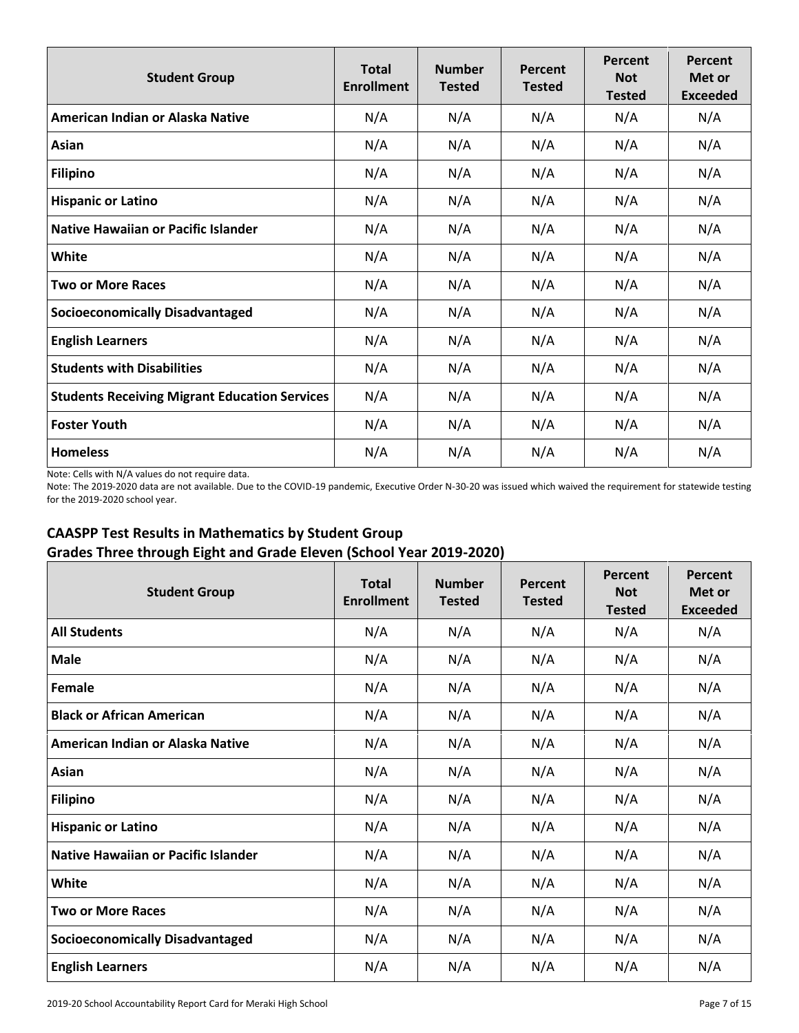| <b>Student Group</b>                                 | <b>Total</b><br><b>Enrollment</b> | <b>Number</b><br><b>Tested</b> | Percent<br><b>Tested</b> | Percent<br><b>Not</b><br><b>Tested</b> | Percent<br>Met or<br><b>Exceeded</b> |
|------------------------------------------------------|-----------------------------------|--------------------------------|--------------------------|----------------------------------------|--------------------------------------|
| American Indian or Alaska Native                     | N/A                               | N/A                            | N/A                      | N/A                                    | N/A                                  |
| Asian                                                | N/A                               | N/A                            | N/A                      | N/A                                    | N/A                                  |
| <b>Filipino</b>                                      | N/A                               | N/A                            | N/A                      | N/A                                    | N/A                                  |
| <b>Hispanic or Latino</b>                            | N/A                               | N/A                            | N/A                      | N/A                                    | N/A                                  |
| Native Hawaiian or Pacific Islander                  | N/A                               | N/A                            | N/A                      | N/A                                    | N/A                                  |
| White                                                | N/A                               | N/A                            | N/A                      | N/A                                    | N/A                                  |
| <b>Two or More Races</b>                             | N/A                               | N/A                            | N/A                      | N/A                                    | N/A                                  |
| <b>Socioeconomically Disadvantaged</b>               | N/A                               | N/A                            | N/A                      | N/A                                    | N/A                                  |
| <b>English Learners</b>                              | N/A                               | N/A                            | N/A                      | N/A                                    | N/A                                  |
| <b>Students with Disabilities</b>                    | N/A                               | N/A                            | N/A                      | N/A                                    | N/A                                  |
| <b>Students Receiving Migrant Education Services</b> | N/A                               | N/A                            | N/A                      | N/A                                    | N/A                                  |
| <b>Foster Youth</b>                                  | N/A                               | N/A                            | N/A                      | N/A                                    | N/A                                  |
| <b>Homeless</b>                                      | N/A                               | N/A                            | N/A                      | N/A                                    | N/A                                  |

Note: The 2019-2020 data are not available. Due to the COVID-19 pandemic, Executive Order N-30-20 was issued which waived the requirement for statewide testing for the 2019-2020 school year.

# **CAASPP Test Results in Mathematics by Student Group Grades Three through Eight and Grade Eleven (School Year 2019-2020)**

| <b>Student Group</b>                       | <b>Total</b><br><b>Enrollment</b> | <b>Number</b><br><b>Tested</b> | Percent<br><b>Tested</b> | Percent<br><b>Not</b><br><b>Tested</b> | Percent<br>Met or<br><b>Exceeded</b> |
|--------------------------------------------|-----------------------------------|--------------------------------|--------------------------|----------------------------------------|--------------------------------------|
| <b>All Students</b>                        | N/A                               | N/A                            | N/A                      | N/A                                    | N/A                                  |
| <b>Male</b>                                | N/A                               | N/A                            | N/A                      | N/A                                    | N/A                                  |
| Female                                     | N/A                               | N/A                            | N/A                      | N/A                                    | N/A                                  |
| <b>Black or African American</b>           | N/A                               | N/A                            | N/A                      | N/A                                    | N/A                                  |
| American Indian or Alaska Native           | N/A                               | N/A                            | N/A                      | N/A                                    | N/A                                  |
| Asian                                      | N/A                               | N/A                            | N/A                      | N/A                                    | N/A                                  |
| <b>Filipino</b>                            | N/A                               | N/A                            | N/A                      | N/A                                    | N/A                                  |
| <b>Hispanic or Latino</b>                  | N/A                               | N/A                            | N/A                      | N/A                                    | N/A                                  |
| <b>Native Hawaiian or Pacific Islander</b> | N/A                               | N/A                            | N/A                      | N/A                                    | N/A                                  |
| White                                      | N/A                               | N/A                            | N/A                      | N/A                                    | N/A                                  |
| <b>Two or More Races</b>                   | N/A                               | N/A                            | N/A                      | N/A                                    | N/A                                  |
| <b>Socioeconomically Disadvantaged</b>     | N/A                               | N/A                            | N/A                      | N/A                                    | N/A                                  |
| <b>English Learners</b>                    | N/A                               | N/A                            | N/A                      | N/A                                    | N/A                                  |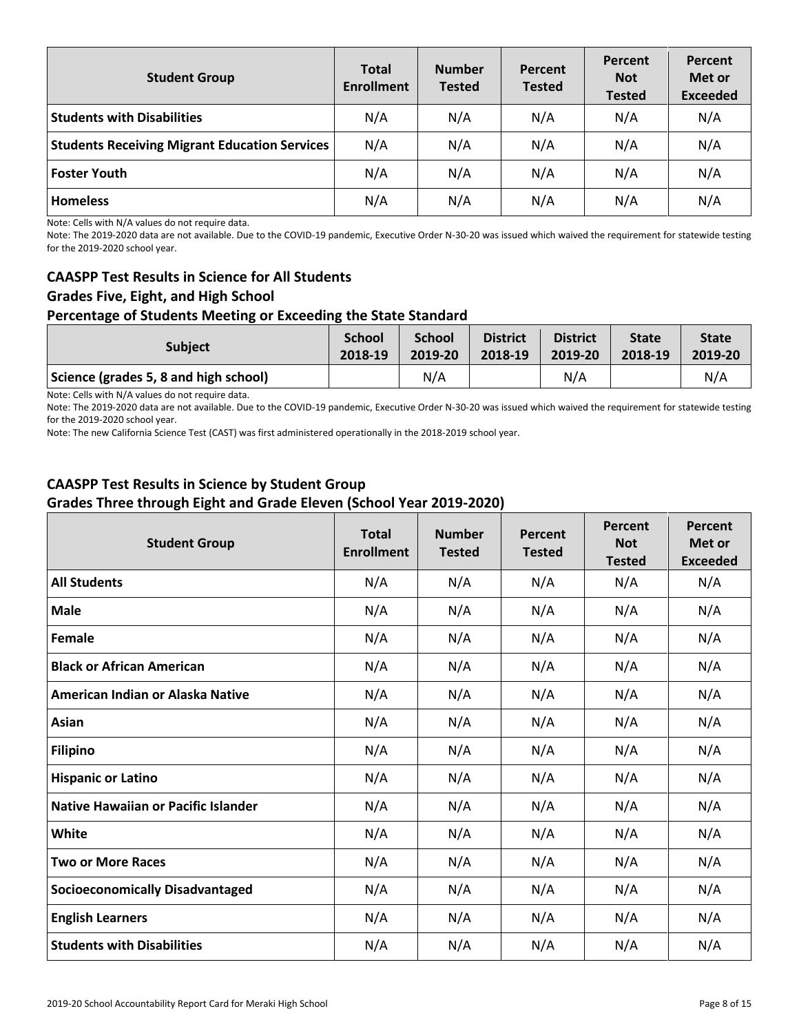| <b>Student Group</b>                                 | <b>Total</b><br><b>Enrollment</b> | <b>Number</b><br><b>Tested</b> | Percent<br><b>Tested</b> | Percent<br><b>Not</b><br><b>Tested</b> | Percent<br>Met or<br><b>Exceeded</b> |
|------------------------------------------------------|-----------------------------------|--------------------------------|--------------------------|----------------------------------------|--------------------------------------|
| <b>Students with Disabilities</b>                    | N/A                               | N/A                            | N/A                      | N/A                                    | N/A                                  |
| <b>Students Receiving Migrant Education Services</b> | N/A                               | N/A                            | N/A                      | N/A                                    | N/A                                  |
| <b>Foster Youth</b>                                  | N/A                               | N/A                            | N/A                      | N/A                                    | N/A                                  |
| <b>Homeless</b>                                      | N/A                               | N/A                            | N/A                      | N/A                                    | N/A                                  |

Note: The 2019-2020 data are not available. Due to the COVID-19 pandemic, Executive Order N-30-20 was issued which waived the requirement for statewide testing for the 2019-2020 school year.

# **CAASPP Test Results in Science for All Students Grades Five, Eight, and High School Percentage of Students Meeting or Exceeding the State Standard**

| <b>Subject</b>                        | <b>School</b> | <b>School</b> | <b>District</b> | <b>District</b> | <b>State</b> | <b>State</b> |
|---------------------------------------|---------------|---------------|-----------------|-----------------|--------------|--------------|
|                                       | 2018-19       | 2019-20       | 2018-19         | 2019-20         | 2018-19      | 2019-20      |
| Science (grades 5, 8 and high school) |               | N/A           |                 | N/A             |              | N/A          |

Note: Cells with N/A values do not require data.

Note: The 2019-2020 data are not available. Due to the COVID-19 pandemic, Executive Order N-30-20 was issued which waived the requirement for statewide testing for the 2019-2020 school year.

Note: The new California Science Test (CAST) was first administered operationally in the 2018-2019 school year.

# **CAASPP Test Results in Science by Student Group Grades Three through Eight and Grade Eleven (School Year 2019-2020)**

| <b>Student Group</b>                       | <b>Total</b><br><b>Enrollment</b> | <b>Number</b><br><b>Tested</b> | Percent<br><b>Tested</b> | <b>Percent</b><br><b>Not</b><br><b>Tested</b> | Percent<br>Met or<br><b>Exceeded</b> |
|--------------------------------------------|-----------------------------------|--------------------------------|--------------------------|-----------------------------------------------|--------------------------------------|
| <b>All Students</b>                        | N/A                               | N/A                            | N/A                      | N/A                                           | N/A                                  |
| <b>Male</b>                                | N/A                               | N/A                            | N/A                      | N/A                                           | N/A                                  |
| Female                                     | N/A                               | N/A                            | N/A                      | N/A                                           | N/A                                  |
| <b>Black or African American</b>           | N/A                               | N/A                            | N/A                      | N/A                                           | N/A                                  |
| American Indian or Alaska Native           | N/A                               | N/A                            | N/A                      | N/A                                           | N/A                                  |
| Asian                                      | N/A                               | N/A                            | N/A                      | N/A                                           | N/A                                  |
| <b>Filipino</b>                            | N/A                               | N/A                            | N/A                      | N/A                                           | N/A                                  |
| <b>Hispanic or Latino</b>                  | N/A                               | N/A                            | N/A                      | N/A                                           | N/A                                  |
| <b>Native Hawaiian or Pacific Islander</b> | N/A                               | N/A                            | N/A                      | N/A                                           | N/A                                  |
| White                                      | N/A                               | N/A                            | N/A                      | N/A                                           | N/A                                  |
| <b>Two or More Races</b>                   | N/A                               | N/A                            | N/A                      | N/A                                           | N/A                                  |
| <b>Socioeconomically Disadvantaged</b>     | N/A                               | N/A                            | N/A                      | N/A                                           | N/A                                  |
| <b>English Learners</b>                    | N/A                               | N/A                            | N/A                      | N/A                                           | N/A                                  |
| <b>Students with Disabilities</b>          | N/A                               | N/A                            | N/A                      | N/A                                           | N/A                                  |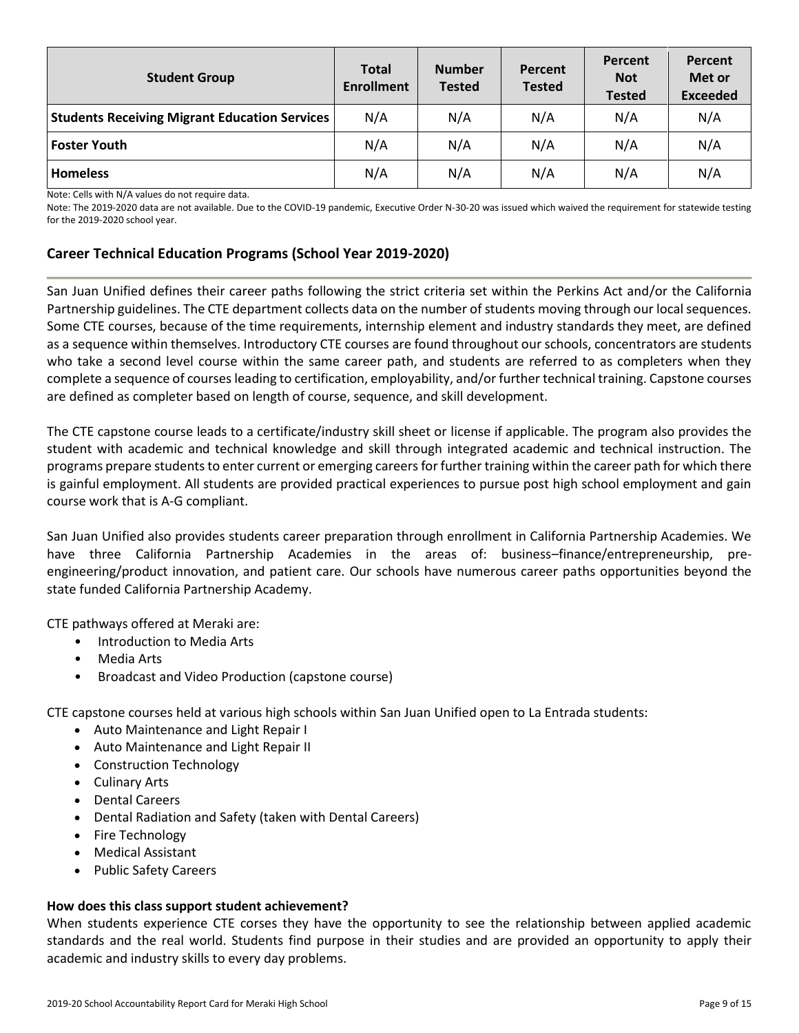| <b>Student Group</b>                                 | <b>Total</b><br><b>Enrollment</b> | <b>Number</b><br><b>Tested</b> | Percent<br><b>Tested</b> | Percent<br><b>Not</b><br><b>Tested</b> | Percent<br>Met or<br><b>Exceeded</b> |
|------------------------------------------------------|-----------------------------------|--------------------------------|--------------------------|----------------------------------------|--------------------------------------|
| <b>Students Receiving Migrant Education Services</b> | N/A                               | N/A                            | N/A                      | N/A                                    | N/A                                  |
| <b>Foster Youth</b>                                  | N/A                               | N/A                            | N/A                      | N/A                                    | N/A                                  |
| <b>Homeless</b>                                      | N/A                               | N/A                            | N/A                      | N/A                                    | N/A                                  |

Note: The 2019-2020 data are not available. Due to the COVID-19 pandemic, Executive Order N-30-20 was issued which waived the requirement for statewide testing for the 2019-2020 school year.

# **Career Technical Education Programs (School Year 2019-2020)**

San Juan Unified defines their career paths following the strict criteria set within the Perkins Act and/or the California Partnership guidelines. The CTE department collects data on the number of students moving through our local sequences. Some CTE courses, because of the time requirements, internship element and industry standards they meet, are defined as a sequence within themselves. Introductory CTE courses are found throughout our schools, concentrators are students who take a second level course within the same career path, and students are referred to as completers when they complete a sequence of courses leading to certification, employability, and/or further technical training. Capstone courses are defined as completer based on length of course, sequence, and skill development.

The CTE capstone course leads to a certificate/industry skill sheet or license if applicable. The program also provides the student with academic and technical knowledge and skill through integrated academic and technical instruction. The programs prepare students to enter current or emerging careers for further training within the career path for which there is gainful employment. All students are provided practical experiences to pursue post high school employment and gain course work that is A-G compliant.

San Juan Unified also provides students career preparation through enrollment in California Partnership Academies. We have three California Partnership Academies in the areas of: business–finance/entrepreneurship, preengineering/product innovation, and patient care. Our schools have numerous career paths opportunities beyond the state funded California Partnership Academy.

CTE pathways offered at Meraki are:

- Introduction to Media Arts
- Media Arts
- Broadcast and Video Production (capstone course)

CTE capstone courses held at various high schools within San Juan Unified open to La Entrada students:

- Auto Maintenance and Light Repair I
- Auto Maintenance and Light Repair II
- Construction Technology
- Culinary Arts
- Dental Careers
- Dental Radiation and Safety (taken with Dental Careers)
- Fire Technology
- Medical Assistant
- Public Safety Careers

#### **How does this class support student achievement?**

When students experience CTE corses they have the opportunity to see the relationship between applied academic standards and the real world. Students find purpose in their studies and are provided an opportunity to apply their academic and industry skills to every day problems.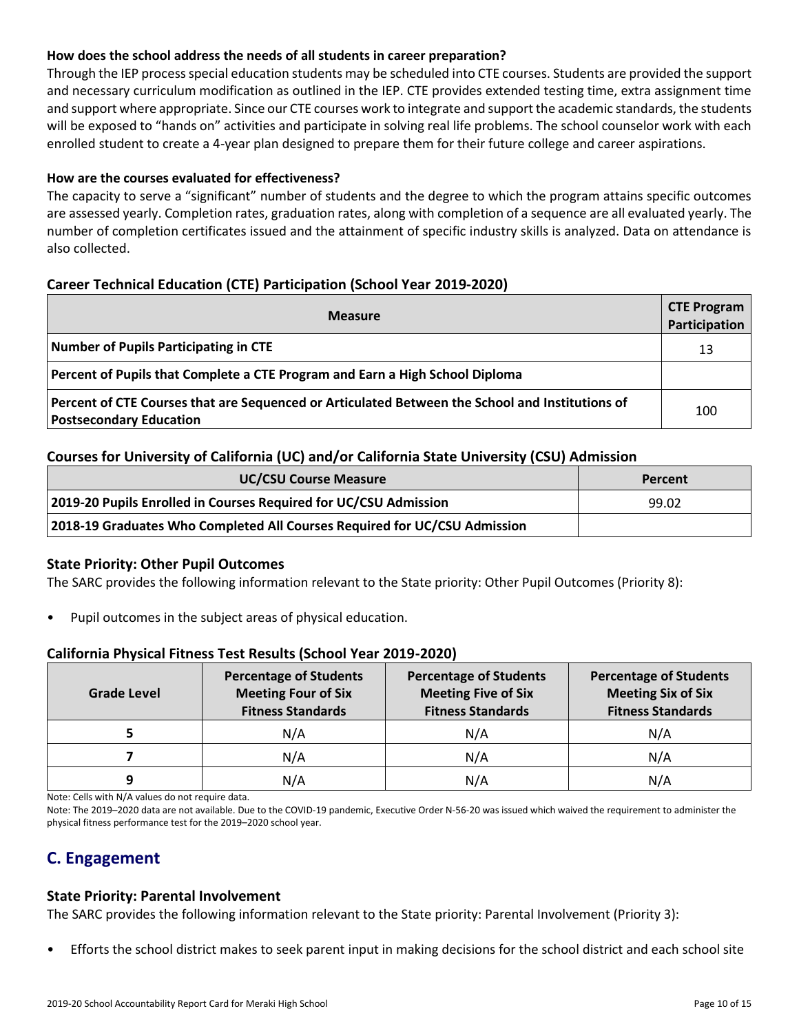# **How does the school address the needs of all students in career preparation?**

Through the IEP process special education students may be scheduled into CTE courses. Students are provided the support and necessary curriculum modification as outlined in the IEP. CTE provides extended testing time, extra assignment time and support where appropriate. Since our CTE courses work to integrate and support the academic standards, the students will be exposed to "hands on" activities and participate in solving real life problems. The school counselor work with each enrolled student to create a 4-year plan designed to prepare them for their future college and career aspirations.

# **How are the courses evaluated for effectiveness?**

The capacity to serve a "significant" number of students and the degree to which the program attains specific outcomes are assessed yearly. Completion rates, graduation rates, along with completion of a sequence are all evaluated yearly. The number of completion certificates issued and the attainment of specific industry skills is analyzed. Data on attendance is also collected.

# **Career Technical Education (CTE) Participation (School Year 2019-2020)**

| <b>CTE Program</b><br><b>Measure</b>                                                                                              |     |  |  |  |  |
|-----------------------------------------------------------------------------------------------------------------------------------|-----|--|--|--|--|
| Number of Pupils Participating in CTE                                                                                             | 13  |  |  |  |  |
| Percent of Pupils that Complete a CTE Program and Earn a High School Diploma                                                      |     |  |  |  |  |
| Percent of CTE Courses that are Sequenced or Articulated Between the School and Institutions of<br><b>Postsecondary Education</b> | 100 |  |  |  |  |

# **Courses for University of California (UC) and/or California State University (CSU) Admission**

| <b>UC/CSU Course Measure</b>                                              | Percent |
|---------------------------------------------------------------------------|---------|
| 2019-20 Pupils Enrolled in Courses Required for UC/CSU Admission          | 99.02   |
| 2018-19 Graduates Who Completed All Courses Required for UC/CSU Admission |         |

# **State Priority: Other Pupil Outcomes**

The SARC provides the following information relevant to the State priority: Other Pupil Outcomes (Priority 8):

• Pupil outcomes in the subject areas of physical education.

# **California Physical Fitness Test Results (School Year 2019-2020)**

| <b>Grade Level</b> | <b>Percentage of Students</b><br><b>Meeting Four of Six</b><br><b>Fitness Standards</b> | <b>Percentage of Students</b><br><b>Meeting Five of Six</b><br><b>Fitness Standards</b> | <b>Percentage of Students</b><br><b>Meeting Six of Six</b><br><b>Fitness Standards</b> |
|--------------------|-----------------------------------------------------------------------------------------|-----------------------------------------------------------------------------------------|----------------------------------------------------------------------------------------|
|                    | N/A                                                                                     | N/A                                                                                     | N/A                                                                                    |
|                    | N/A                                                                                     | N/A                                                                                     | N/A                                                                                    |
|                    | N/A                                                                                     | N/A                                                                                     | N/A                                                                                    |

Note: Cells with N/A values do not require data.

Note: The 2019–2020 data are not available. Due to the COVID-19 pandemic, Executive Order N-56-20 was issued which waived the requirement to administer the physical fitness performance test for the 2019–2020 school year.

# **C. Engagement**

### **State Priority: Parental Involvement**

The SARC provides the following information relevant to the State priority: Parental Involvement (Priority 3):

• Efforts the school district makes to seek parent input in making decisions for the school district and each school site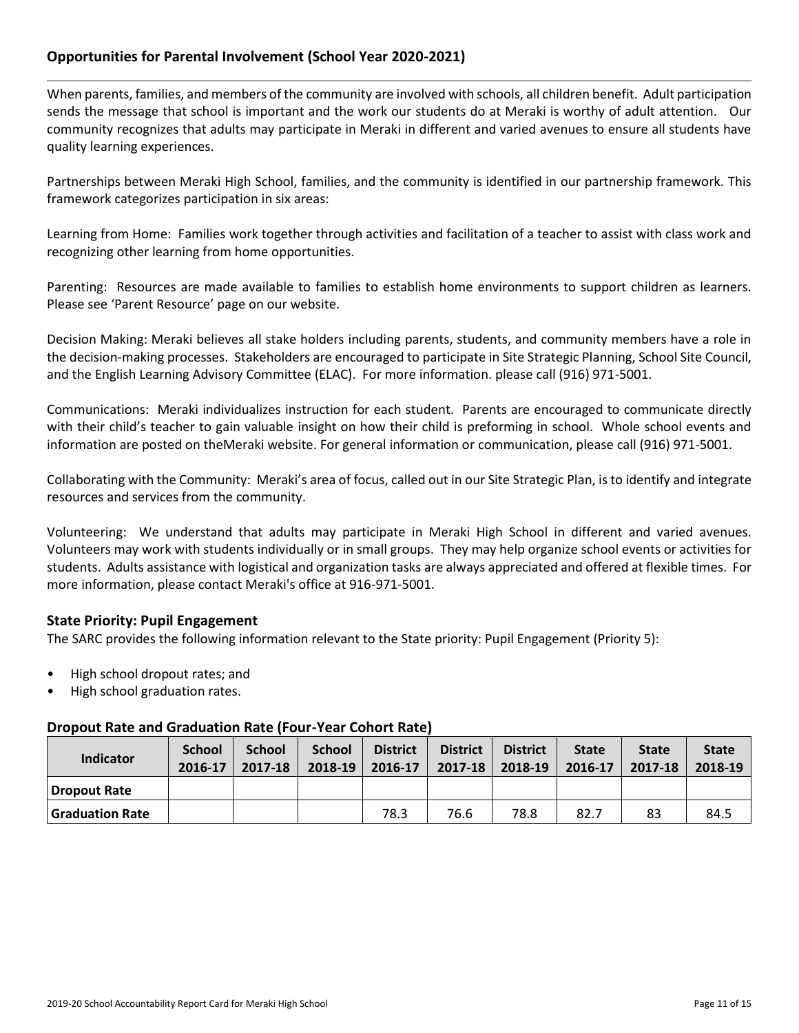# **Opportunities for Parental Involvement (School Year 2020-2021)**

When parents, families, and members of the community are involved with schools, all children benefit. Adult participation sends the message that school is important and the work our students do at Meraki is worthy of adult attention. Our community recognizes that adults may participate in Meraki in different and varied avenues to ensure all students have quality learning experiences.

Partnerships between Meraki High School, families, and the community is identified in our partnership framework. This framework categorizes participation in six areas:

Learning from Home: Families work together through activities and facilitation of a teacher to assist with class work and recognizing other learning from home opportunities.

Parenting: Resources are made available to families to establish home environments to support children as learners. Please see 'Parent Resource' page on our website.

Decision Making: Meraki believes all stake holders including parents, students, and community members have a role in the decision-making processes. Stakeholders are encouraged to participate in Site Strategic Planning, School Site Council, and the English Learning Advisory Committee (ELAC). For more information. please call (916) 971-5001.

Communications: Meraki individualizes instruction for each student. Parents are encouraged to communicate directly with their child's teacher to gain valuable insight on how their child is preforming in school. Whole school events and information are posted on theMeraki website. For general information or communication, please call (916) 971-5001.

Collaborating with the Community: Meraki's area of focus, called out in our Site Strategic Plan, is to identify and integrate resources and services from the community.

Volunteering: We understand that adults may participate in Meraki High School in different and varied avenues. Volunteers may work with students individually or in small groups. They may help organize school events or activities for students. Adults assistance with logistical and organization tasks are always appreciated and offered at flexible times. For more information, please contact Meraki's office at 916-971-5001.

### **State Priority: Pupil Engagement**

The SARC provides the following information relevant to the State priority: Pupil Engagement (Priority 5):

- High school dropout rates; and
- High school graduation rates.

### **Dropout Rate and Graduation Rate (Four-Year Cohort Rate)**

| <b>Indicator</b>       | <b>School</b><br>2016-17 | <b>School</b><br>2017-18 | <b>School</b><br>2018-19 | <b>District</b><br>2016-17 | <b>District</b><br>2017-18 | <b>District</b><br>2018-19 | <b>State</b><br>2016-17 | <b>State</b><br>2017-18 | <b>State</b><br>2018-19 |
|------------------------|--------------------------|--------------------------|--------------------------|----------------------------|----------------------------|----------------------------|-------------------------|-------------------------|-------------------------|
| <b>Dropout Rate</b>    |                          |                          |                          |                            |                            |                            |                         |                         |                         |
| <b>Graduation Rate</b> |                          |                          |                          | 78.3                       | 76.6                       | 78.8                       | 82.7                    | 83                      | 84.5                    |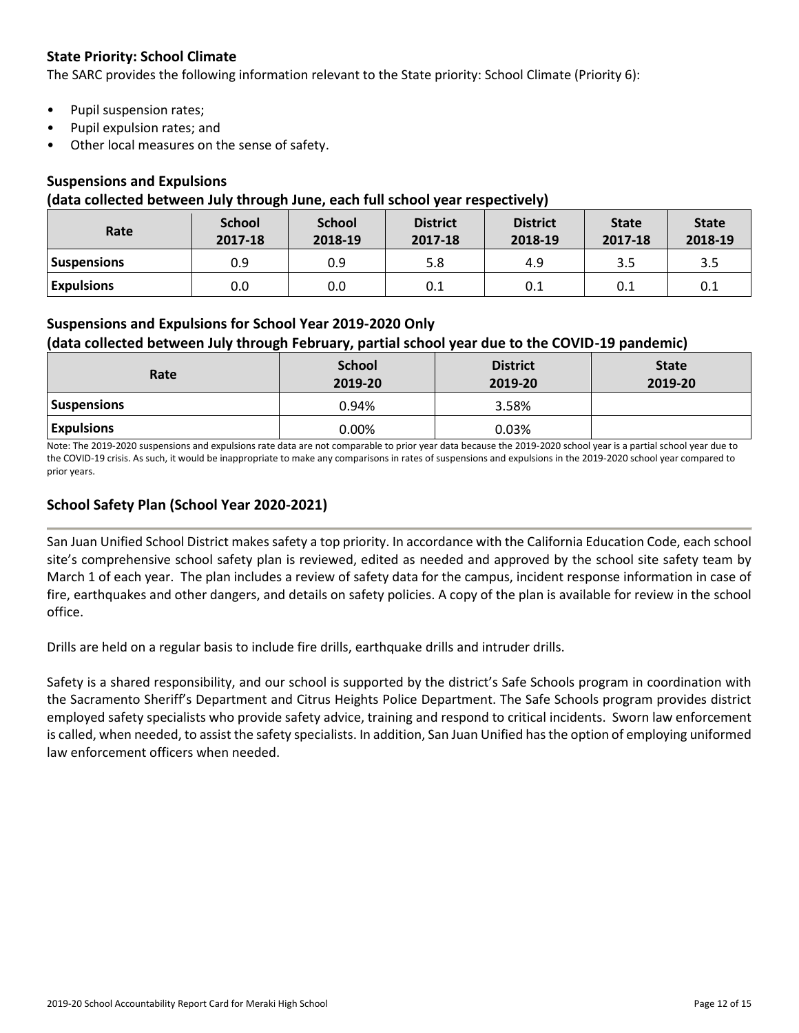# **State Priority: School Climate**

The SARC provides the following information relevant to the State priority: School Climate (Priority 6):

- Pupil suspension rates;
- Pupil expulsion rates; and
- Other local measures on the sense of safety.

# **Suspensions and Expulsions**

#### **(data collected between July through June, each full school year respectively)**

| Rate               | <b>School</b><br>2017-18 | <b>School</b><br>2018-19 | <b>District</b><br>2017-18 | <b>District</b><br>2018-19 | <b>State</b><br>2017-18 | <b>State</b><br>2018-19 |
|--------------------|--------------------------|--------------------------|----------------------------|----------------------------|-------------------------|-------------------------|
| <b>Suspensions</b> | 0.9                      | 0.9                      | 5.8                        | 4.9                        | 3.5                     | 3.5                     |
| <b>Expulsions</b>  | 0.0                      | 0.0                      | 0.1                        | 0.1                        | 0.1                     | 0.1                     |

# **Suspensions and Expulsions for School Year 2019-2020 Only**

# **(data collected between July through February, partial school year due to the COVID-19 pandemic)**

| Rate               | <b>School</b><br>2019-20 | <b>District</b><br>2019-20 | <b>State</b><br>2019-20 |
|--------------------|--------------------------|----------------------------|-------------------------|
| <b>Suspensions</b> | 0.94%                    | 3.58%                      |                         |
| <b>Expulsions</b>  | $0.00\%$                 | 0.03%                      |                         |

Note: The 2019-2020 suspensions and expulsions rate data are not comparable to prior year data because the 2019-2020 school year is a partial school year due to the COVID-19 crisis. As such, it would be inappropriate to make any comparisons in rates of suspensions and expulsions in the 2019-2020 school year compared to prior years.

# **School Safety Plan (School Year 2020-2021)**

San Juan Unified School District makes safety a top priority. In accordance with the California Education Code, each school site's comprehensive school safety plan is reviewed, edited as needed and approved by the school site safety team by March 1 of each year. The plan includes a review of safety data for the campus, incident response information in case of fire, earthquakes and other dangers, and details on safety policies. A copy of the plan is available for review in the school office.

Drills are held on a regular basis to include fire drills, earthquake drills and intruder drills.

Safety is a shared responsibility, and our school is supported by the district's Safe Schools program in coordination with the Sacramento Sheriff's Department and Citrus Heights Police Department. The Safe Schools program provides district employed safety specialists who provide safety advice, training and respond to critical incidents. Sworn law enforcement is called, when needed, to assist the safety specialists. In addition, San Juan Unified has the option of employing uniformed law enforcement officers when needed.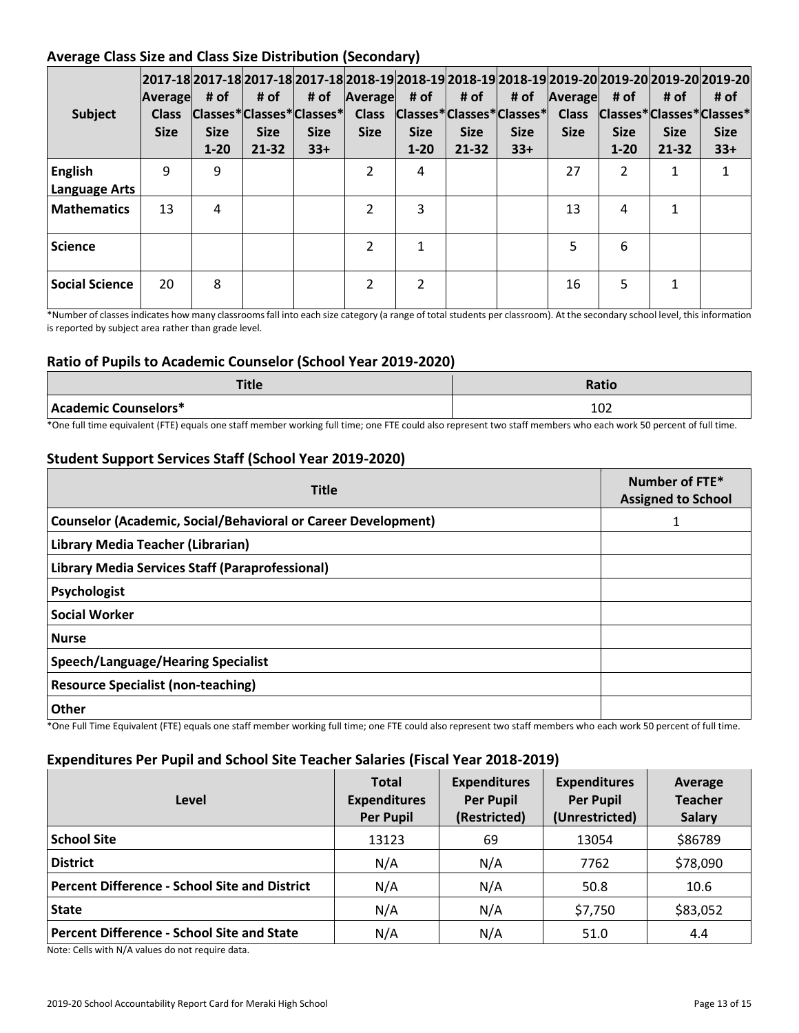# **Average Class Size and Class Size Distribution (Secondary)**

| Subject                                | Average<br><b>Class</b><br><b>Size</b> | # of<br> Classes* Classes* Classes* <br><b>Size</b><br>$1 - 20$ | # of<br><b>Size</b><br>$21 - 32$ | # of<br><b>Size</b><br>$33+$ | Average<br><b>Class</b><br><b>Size</b> | # of<br><b>Size</b><br>$1 - 20$ | # of<br> Classes* Classes* Classes*  Class<br><b>Size</b><br>21-32 | # of<br><b>Size</b><br>$33+$ | Average<br><b>Size</b> | # of<br><b>Size</b><br>$1 - 20$ | # of<br><b>Size</b><br>21-32 | 2017-18 2017-18 2017-18 2017-18 2018-19 2018-19 2018-19 2018-19 2019-20 2019-20 2019-20 2019-20 <br># of<br>Classes*Classes*Classes*<br><b>Size</b><br>$33+$ |
|----------------------------------------|----------------------------------------|-----------------------------------------------------------------|----------------------------------|------------------------------|----------------------------------------|---------------------------------|--------------------------------------------------------------------|------------------------------|------------------------|---------------------------------|------------------------------|--------------------------------------------------------------------------------------------------------------------------------------------------------------|
| <b>English</b><br><b>Language Arts</b> | q                                      | 9                                                               |                                  |                              | $\mathcal{P}$                          | 4                               |                                                                    |                              | 27                     | $\mathcal{P}$                   | 1                            |                                                                                                                                                              |
| <b>Mathematics</b>                     | 13                                     | 4                                                               |                                  |                              | $\mathcal{P}$                          | 3                               |                                                                    |                              | 13                     | 4                               | 1                            |                                                                                                                                                              |
| <b>Science</b>                         |                                        |                                                                 |                                  |                              | $\mathcal{P}$                          | $\mathbf{1}$                    |                                                                    |                              | 5                      | 6                               |                              |                                                                                                                                                              |
| <b>Social Science</b>                  | 20                                     | 8                                                               |                                  |                              | 2                                      | 2                               |                                                                    |                              | 16                     | 5                               | 1                            |                                                                                                                                                              |

\*Number of classes indicates how many classrooms fall into each size category (a range of total students per classroom). At the secondary school level, this information is reported by subject area rather than grade level.

# **Ratio of Pupils to Academic Counselor (School Year 2019-2020)**

| <b>Title</b>         | <b>Ratio</b> |  |  |
|----------------------|--------------|--|--|
| Academic Counselors* | 102          |  |  |

\*One full time equivalent (FTE) equals one staff member working full time; one FTE could also represent two staff members who each work 50 percent of full time.

# **Student Support Services Staff (School Year 2019-2020)**

| <b>Title</b>                                                         | Number of FTE*<br><b>Assigned to School</b> |  |  |
|----------------------------------------------------------------------|---------------------------------------------|--|--|
| <b>Counselor (Academic, Social/Behavioral or Career Development)</b> |                                             |  |  |
| Library Media Teacher (Librarian)                                    |                                             |  |  |
| Library Media Services Staff (Paraprofessional)                      |                                             |  |  |
| Psychologist                                                         |                                             |  |  |
| <b>Social Worker</b>                                                 |                                             |  |  |
| <b>Nurse</b>                                                         |                                             |  |  |
| <b>Speech/Language/Hearing Specialist</b>                            |                                             |  |  |
| <b>Resource Specialist (non-teaching)</b>                            |                                             |  |  |
| <b>Other</b>                                                         |                                             |  |  |

\*One Full Time Equivalent (FTE) equals one staff member working full time; one FTE could also represent two staff members who each work 50 percent of full time.

### **Expenditures Per Pupil and School Site Teacher Salaries (Fiscal Year 2018-2019)**

| Level                                                                                                                                                                                                                                                                                                                                                                                                                                                                                                             | <b>Total</b><br><b>Expenditures</b><br><b>Per Pupil</b> | <b>Expenditures</b><br><b>Per Pupil</b><br>(Restricted) | <b>Expenditures</b><br><b>Per Pupil</b><br>(Unrestricted) | Average<br><b>Teacher</b><br><b>Salary</b> |  |
|-------------------------------------------------------------------------------------------------------------------------------------------------------------------------------------------------------------------------------------------------------------------------------------------------------------------------------------------------------------------------------------------------------------------------------------------------------------------------------------------------------------------|---------------------------------------------------------|---------------------------------------------------------|-----------------------------------------------------------|--------------------------------------------|--|
| <b>School Site</b>                                                                                                                                                                                                                                                                                                                                                                                                                                                                                                | 13123                                                   | 69                                                      | 13054                                                     | \$86789                                    |  |
| <b>District</b>                                                                                                                                                                                                                                                                                                                                                                                                                                                                                                   | N/A                                                     | N/A                                                     | 7762                                                      | \$78,090                                   |  |
| <b>Percent Difference - School Site and District</b>                                                                                                                                                                                                                                                                                                                                                                                                                                                              | N/A                                                     | N/A                                                     | 50.8                                                      | 10.6                                       |  |
| <b>State</b>                                                                                                                                                                                                                                                                                                                                                                                                                                                                                                      | N/A                                                     | N/A                                                     | \$7,750                                                   | \$83,052                                   |  |
| <b>Percent Difference - School Site and State</b><br>$\mathbf{a} \cdot \mathbf{b} = \mathbf{a} \cdot \mathbf{b} = \mathbf{a} \cdot \mathbf{b} + \mathbf{b} \cdot \mathbf{c} + \mathbf{b} \cdot \mathbf{c} + \mathbf{c} \cdot \mathbf{c} + \mathbf{c} \cdot \mathbf{c} + \mathbf{c} \cdot \mathbf{c} + \mathbf{c} \cdot \mathbf{c} + \mathbf{c} \cdot \mathbf{c} + \mathbf{c} \cdot \mathbf{c} + \mathbf{c} \cdot \mathbf{c} + \mathbf{c} \cdot \mathbf{c} + \mathbf{c} \cdot \mathbf{c} + \mathbf{c} \cdot \math$ | N/A                                                     | N/A                                                     | 51.0                                                      | 4.4                                        |  |

Note: Cells with N/A values do not require data.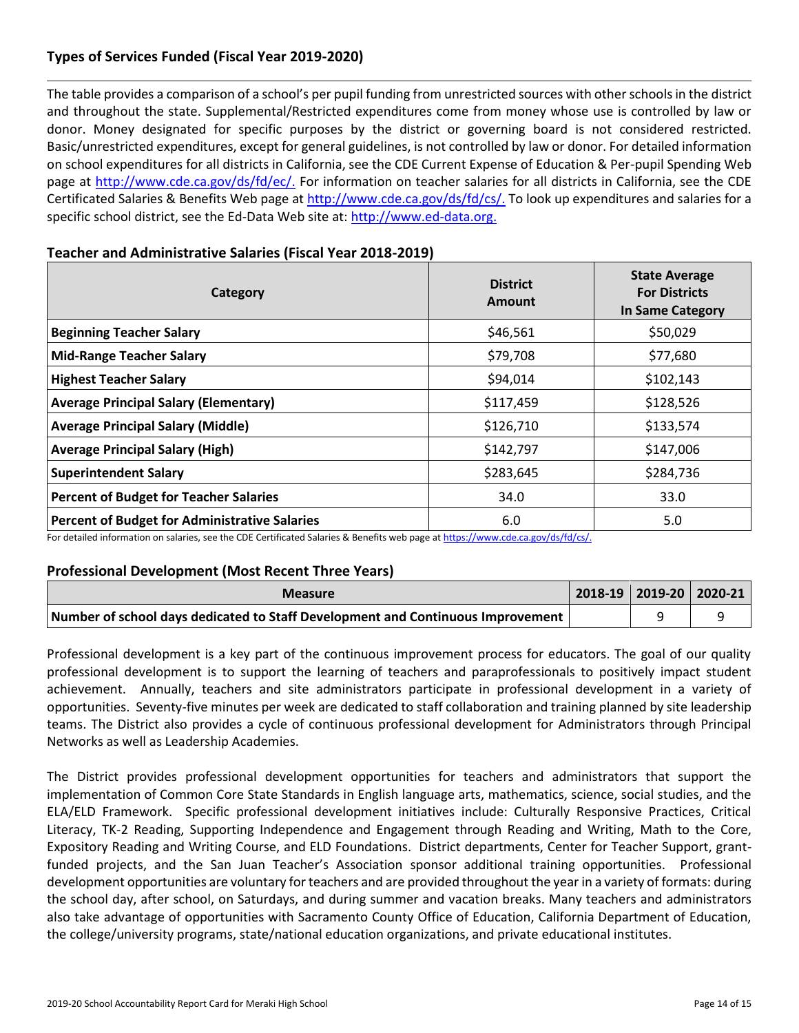# **Types of Services Funded (Fiscal Year 2019-2020)**

The table provides a comparison of a school's per pupil funding from unrestricted sources with other schools in the district and throughout the state. Supplemental/Restricted expenditures come from money whose use is controlled by law or donor. Money designated for specific purposes by the district or governing board is not considered restricted. Basic/unrestricted expenditures, except for general guidelines, is not controlled by law or donor. For detailed information on school expenditures for all districts in California, see the CDE Current Expense of Education & Per-pupil Spending Web page at [http://www.cde.ca.gov/ds/fd/ec/.](http://www.cde.ca.gov/ds/fd/ec/) For information on teacher salaries for all districts in California, see the CDE Certificated Salaries & Benefits Web page at [http://www.cde.ca.gov/ds/fd/cs/.](http://www.cde.ca.gov/ds/fd/cs/) To look up expenditures and salaries for a specific school district, see the Ed-Data Web site at: [http://www.ed-data.org.](http://www.ed-data.org./)

| Category                                             | <b>District</b><br>Amount | <b>State Average</b><br><b>For Districts</b><br><b>In Same Category</b> |  |  |
|------------------------------------------------------|---------------------------|-------------------------------------------------------------------------|--|--|
| <b>Beginning Teacher Salary</b>                      | \$46,561                  | \$50,029                                                                |  |  |
| <b>Mid-Range Teacher Salary</b>                      | \$79,708                  | \$77,680                                                                |  |  |
| <b>Highest Teacher Salary</b>                        | \$94,014                  | \$102,143                                                               |  |  |
| <b>Average Principal Salary (Elementary)</b>         | \$117,459                 | \$128,526                                                               |  |  |
| <b>Average Principal Salary (Middle)</b>             | \$126,710                 | \$133,574                                                               |  |  |
| <b>Average Principal Salary (High)</b>               | \$142,797                 | \$147,006                                                               |  |  |
| <b>Superintendent Salary</b>                         | \$283,645                 | \$284,736                                                               |  |  |
| <b>Percent of Budget for Teacher Salaries</b>        | 34.0                      | 33.0                                                                    |  |  |
| <b>Percent of Budget for Administrative Salaries</b> | 6.0                       | 5.0                                                                     |  |  |

### **Teacher and Administrative Salaries (Fiscal Year 2018-2019)**

For detailed information on salaries, see the CDE Certificated Salaries & Benefits web page at [https://www.cde.ca.gov/ds/fd/cs/.](https://www.cde.ca.gov/ds/fd/cs/)

### **Professional Development (Most Recent Three Years)**

| <b>Measure</b>                                                                  |  | 2018-19   2019-20   2020-21 |
|---------------------------------------------------------------------------------|--|-----------------------------|
| Number of school days dedicated to Staff Development and Continuous Improvement |  |                             |

Professional development is a key part of the continuous improvement process for educators. The goal of our quality professional development is to support the learning of teachers and paraprofessionals to positively impact student achievement. Annually, teachers and site administrators participate in professional development in a variety of opportunities. Seventy-five minutes per week are dedicated to staff collaboration and training planned by site leadership teams. The District also provides a cycle of continuous professional development for Administrators through Principal Networks as well as Leadership Academies.

The District provides professional development opportunities for teachers and administrators that support the implementation of Common Core State Standards in English language arts, mathematics, science, social studies, and the ELA/ELD Framework. Specific professional development initiatives include: Culturally Responsive Practices, Critical Literacy, TK-2 Reading, Supporting Independence and Engagement through Reading and Writing, Math to the Core, Expository Reading and Writing Course, and ELD Foundations. District departments, Center for Teacher Support, grantfunded projects, and the San Juan Teacher's Association sponsor additional training opportunities. Professional development opportunities are voluntary for teachers and are provided throughout the year in a variety of formats: during the school day, after school, on Saturdays, and during summer and vacation breaks. Many teachers and administrators also take advantage of opportunities with Sacramento County Office of Education, California Department of Education, the college/university programs, state/national education organizations, and private educational institutes.